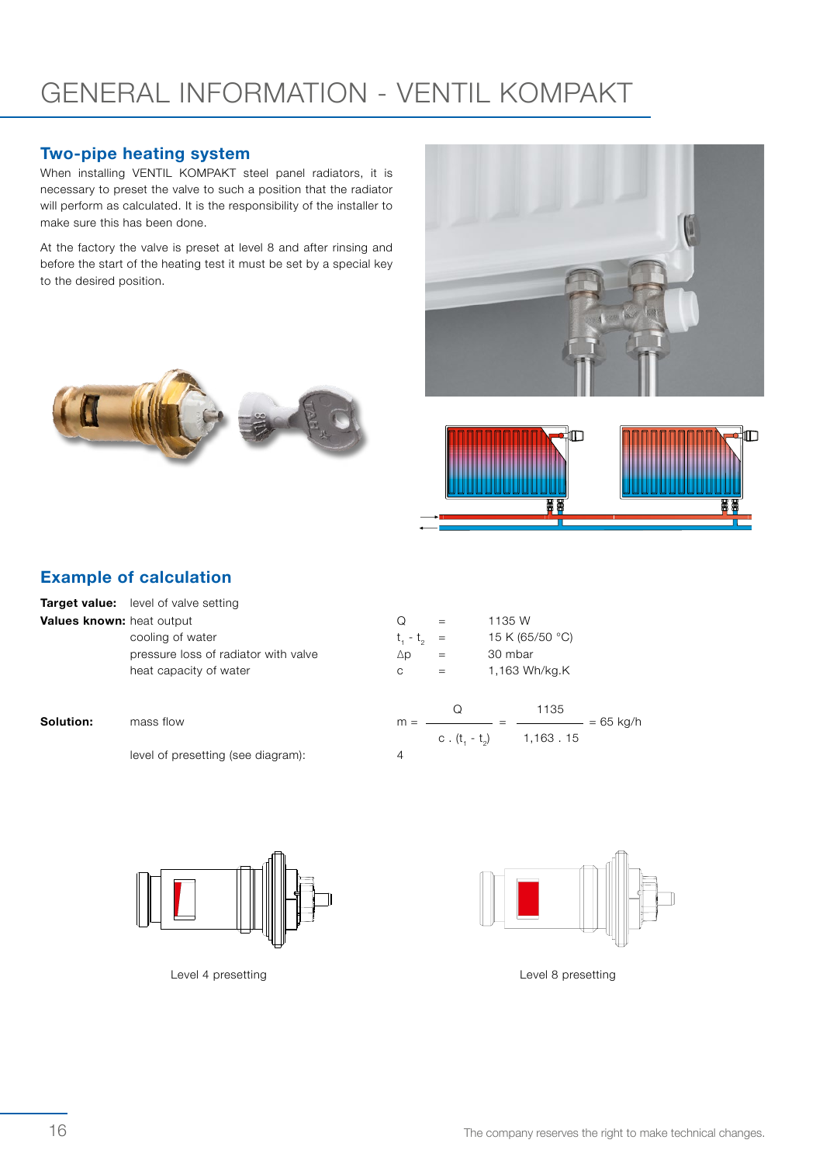# GENERAL INFORMATION - VENTIL KOMPAKT

#### Two-pipe heating system

When installing VENTIL KOMPAKT steel panel radiators, it is necessary to preset the valve to such a position that the radiator will perform as calculated. It is the responsibility of the installer to make sure this has been done.

At the factory the valve is preset at level 8 and after rinsing and before the start of the heating test it must be set by a special key to the desired position.







### Example of calculation

|           | <b>Target value:</b> level of valve setting |                 |                |                     |  |  |  |  |
|-----------|---------------------------------------------|-----------------|----------------|---------------------|--|--|--|--|
|           | <b>Values known: heat output</b>            | O               | $=$            | 1135 W              |  |  |  |  |
|           | cooling of water                            | $t_{1} - t_{2}$ | $=$<br>$=$     | 15 K (65/50 °C)     |  |  |  |  |
|           | pressure loss of radiator with valve        | $\Delta p$      |                | 30 mbar             |  |  |  |  |
| Solution: | heat capacity of water                      | C               | $=$            | 1,163 Wh/kg.K       |  |  |  |  |
|           | mass flow                                   | $m =$           | Q              | 1135<br>$= 65$ kg/h |  |  |  |  |
|           |                                             |                 | c. $(t, -t_0)$ | 1,163.15            |  |  |  |  |
|           | level of presetting (see diagram):          | 4               |                |                     |  |  |  |  |



Level 4 presetting Level 8 presetting